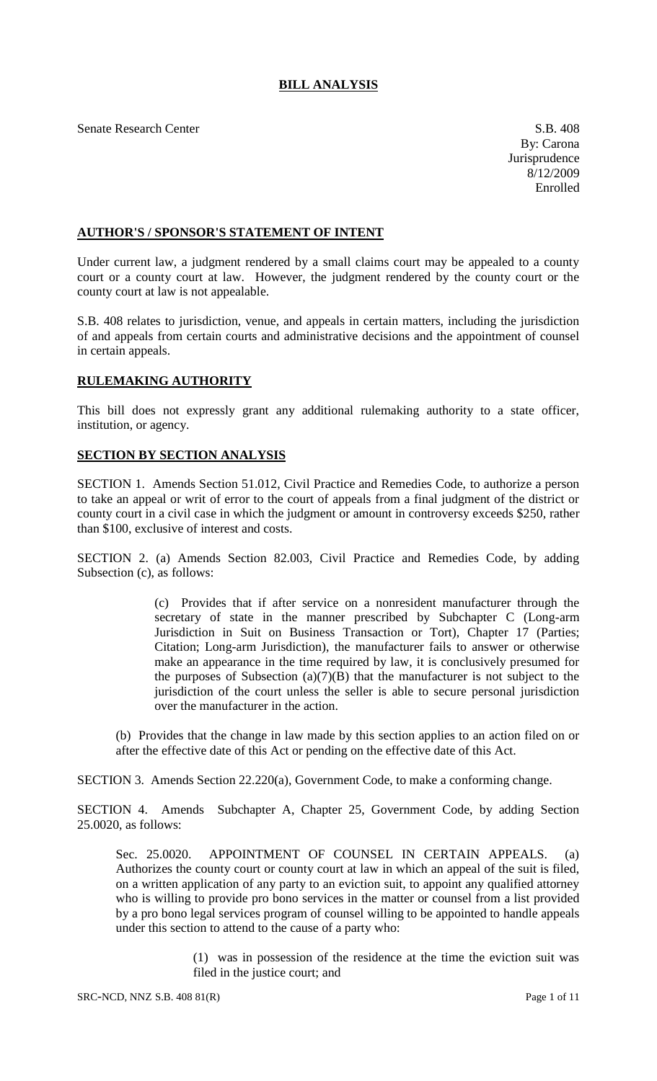# **BILL ANALYSIS**

Senate Research Center S.B. 408

### **AUTHOR'S / SPONSOR'S STATEMENT OF INTENT**

Under current law, a judgment rendered by a small claims court may be appealed to a county court or a county court at law. However, the judgment rendered by the county court or the county court at law is not appealable.

S.B. 408 relates to jurisdiction, venue, and appeals in certain matters, including the jurisdiction of and appeals from certain courts and administrative decisions and the appointment of counsel in certain appeals.

# **RULEMAKING AUTHORITY**

This bill does not expressly grant any additional rulemaking authority to a state officer, institution, or agency.

### **SECTION BY SECTION ANALYSIS**

SECTION 1. Amends Section 51.012, Civil Practice and Remedies Code, to authorize a person to take an appeal or writ of error to the court of appeals from a final judgment of the district or county court in a civil case in which the judgment or amount in controversy exceeds \$250, rather than \$100, exclusive of interest and costs.

SECTION 2. (a) Amends Section 82.003, Civil Practice and Remedies Code, by adding Subsection (c), as follows:

> (c) Provides that if after service on a nonresident manufacturer through the secretary of state in the manner prescribed by Subchapter C (Long-arm Jurisdiction in Suit on Business Transaction or Tort), Chapter 17 (Parties; Citation; Long-arm Jurisdiction), the manufacturer fails to answer or otherwise make an appearance in the time required by law, it is conclusively presumed for the purposes of Subsection (a) $(7)(B)$  that the manufacturer is not subject to the jurisdiction of the court unless the seller is able to secure personal jurisdiction over the manufacturer in the action.

(b) Provides that the change in law made by this section applies to an action filed on or after the effective date of this Act or pending on the effective date of this Act.

SECTION 3. Amends Section 22.220(a), Government Code, to make a conforming change.

SECTION 4. Amends Subchapter A, Chapter 25, Government Code, by adding Section 25.0020, as follows:

Sec. 25.0020. APPOINTMENT OF COUNSEL IN CERTAIN APPEALS. (a) Authorizes the county court or county court at law in which an appeal of the suit is filed, on a written application of any party to an eviction suit, to appoint any qualified attorney who is willing to provide pro bono services in the matter or counsel from a list provided by a pro bono legal services program of counsel willing to be appointed to handle appeals under this section to attend to the cause of a party who:

> (1) was in possession of the residence at the time the eviction suit was filed in the justice court; and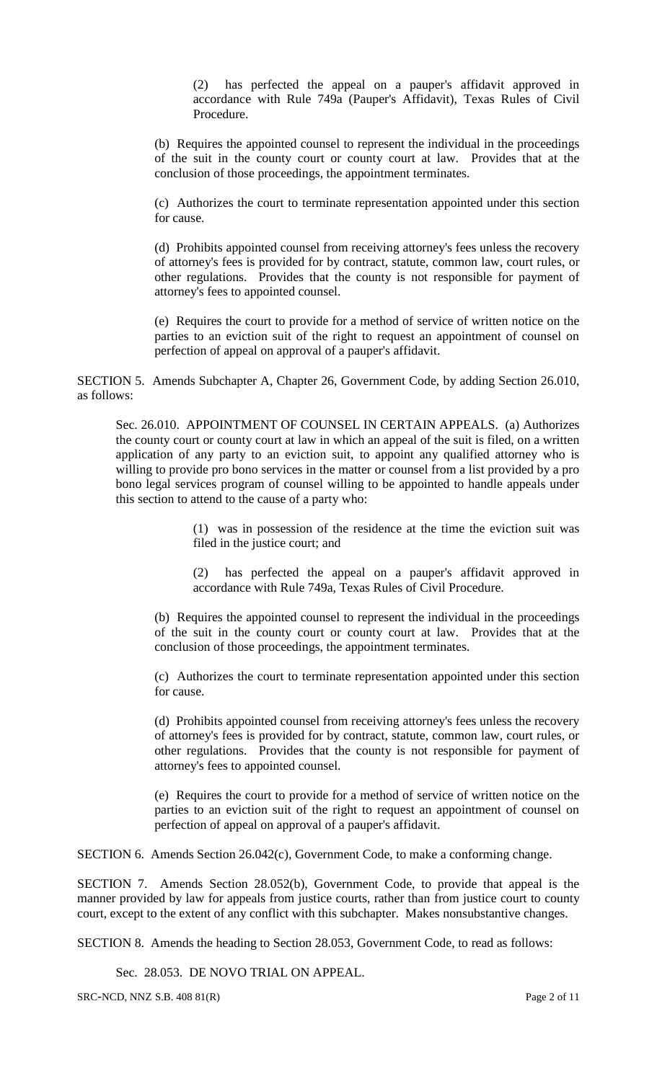(2) has perfected the appeal on a pauper's affidavit approved in accordance with Rule 749a (Pauper's Affidavit), Texas Rules of Civil Procedure.

(b) Requires the appointed counsel to represent the individual in the proceedings of the suit in the county court or county court at law. Provides that at the conclusion of those proceedings, the appointment terminates.

(c) Authorizes the court to terminate representation appointed under this section for cause.

(d) Prohibits appointed counsel from receiving attorney's fees unless the recovery of attorney's fees is provided for by contract, statute, common law, court rules, or other regulations. Provides that the county is not responsible for payment of attorney's fees to appointed counsel.

(e) Requires the court to provide for a method of service of written notice on the parties to an eviction suit of the right to request an appointment of counsel on perfection of appeal on approval of a pauper's affidavit.

SECTION 5. Amends Subchapter A, Chapter 26, Government Code, by adding Section 26.010, as follows:

Sec. 26.010. APPOINTMENT OF COUNSEL IN CERTAIN APPEALS. (a) Authorizes the county court or county court at law in which an appeal of the suit is filed, on a written application of any party to an eviction suit, to appoint any qualified attorney who is willing to provide pro bono services in the matter or counsel from a list provided by a pro bono legal services program of counsel willing to be appointed to handle appeals under this section to attend to the cause of a party who:

> (1) was in possession of the residence at the time the eviction suit was filed in the justice court; and

> (2) has perfected the appeal on a pauper's affidavit approved in accordance with Rule 749a, Texas Rules of Civil Procedure.

(b) Requires the appointed counsel to represent the individual in the proceedings of the suit in the county court or county court at law. Provides that at the conclusion of those proceedings, the appointment terminates.

(c) Authorizes the court to terminate representation appointed under this section for cause.

(d) Prohibits appointed counsel from receiving attorney's fees unless the recovery of attorney's fees is provided for by contract, statute, common law, court rules, or other regulations. Provides that the county is not responsible for payment of attorney's fees to appointed counsel.

(e) Requires the court to provide for a method of service of written notice on the parties to an eviction suit of the right to request an appointment of counsel on perfection of appeal on approval of a pauper's affidavit.

SECTION 6. Amends Section 26.042(c), Government Code, to make a conforming change.

SECTION 7. Amends Section 28.052(b), Government Code, to provide that appeal is the manner provided by law for appeals from justice courts, rather than from justice court to county court, except to the extent of any conflict with this subchapter. Makes nonsubstantive changes.

SECTION 8. Amends the heading to Section 28.053, Government Code, to read as follows:

Sec. 28.053. DE NOVO TRIAL ON APPEAL.

SRC-NCD, NNZ S.B. 408 81(R) Page 2 of 11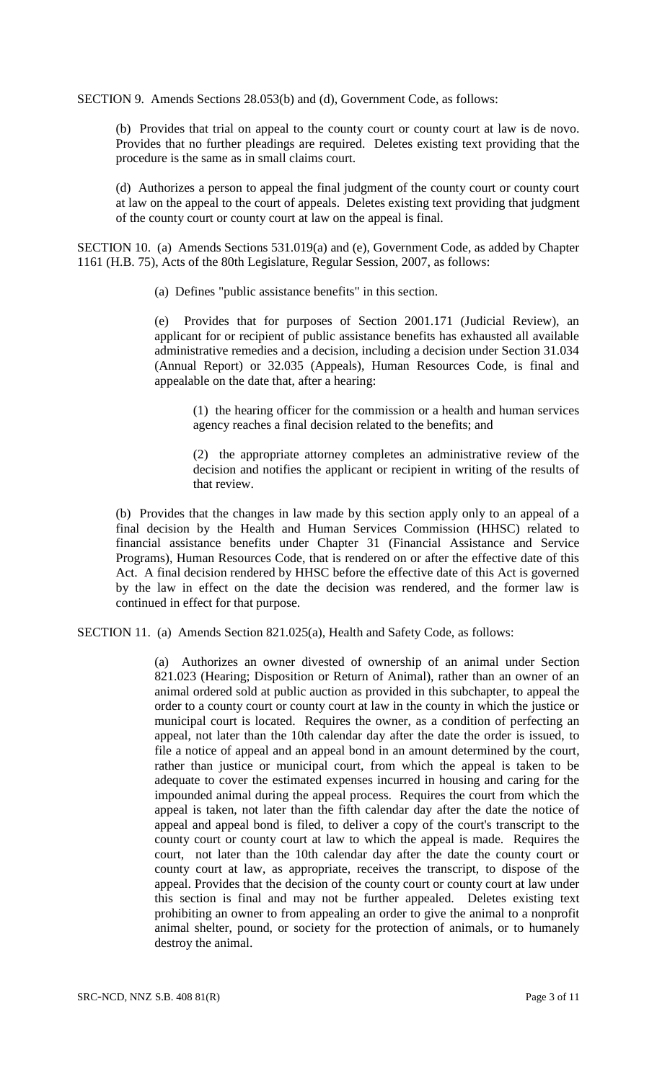SECTION 9. Amends Sections 28.053(b) and (d), Government Code, as follows:

(b) Provides that trial on appeal to the county court or county court at law is de novo. Provides that no further pleadings are required. Deletes existing text providing that the procedure is the same as in small claims court.

(d) Authorizes a person to appeal the final judgment of the county court or county court at law on the appeal to the court of appeals. Deletes existing text providing that judgment of the county court or county court at law on the appeal is final.

SECTION 10. (a) Amends Sections 531.019(a) and (e), Government Code, as added by Chapter 1161 (H.B. 75), Acts of the 80th Legislature, Regular Session, 2007, as follows:

(a) Defines "public assistance benefits" in this section.

(e) Provides that for purposes of Section 2001.171 (Judicial Review), an applicant for or recipient of public assistance benefits has exhausted all available administrative remedies and a decision, including a decision under Section 31.034 (Annual Report) or 32.035 (Appeals), Human Resources Code, is final and appealable on the date that, after a hearing:

(1) the hearing officer for the commission or a health and human services agency reaches a final decision related to the benefits; and

(2) the appropriate attorney completes an administrative review of the decision and notifies the applicant or recipient in writing of the results of that review.

(b) Provides that the changes in law made by this section apply only to an appeal of a final decision by the Health and Human Services Commission (HHSC) related to financial assistance benefits under Chapter 31 (Financial Assistance and Service Programs), Human Resources Code, that is rendered on or after the effective date of this Act. A final decision rendered by HHSC before the effective date of this Act is governed by the law in effect on the date the decision was rendered, and the former law is continued in effect for that purpose.

SECTION 11. (a) Amends Section 821.025(a), Health and Safety Code, as follows:

(a) Authorizes an owner divested of ownership of an animal under Section 821.023 (Hearing; Disposition or Return of Animal), rather than an owner of an animal ordered sold at public auction as provided in this subchapter, to appeal the order to a county court or county court at law in the county in which the justice or municipal court is located. Requires the owner, as a condition of perfecting an appeal, not later than the 10th calendar day after the date the order is issued, to file a notice of appeal and an appeal bond in an amount determined by the court, rather than justice or municipal court, from which the appeal is taken to be adequate to cover the estimated expenses incurred in housing and caring for the impounded animal during the appeal process. Requires the court from which the appeal is taken, not later than the fifth calendar day after the date the notice of appeal and appeal bond is filed, to deliver a copy of the court's transcript to the county court or county court at law to which the appeal is made. Requires the court, not later than the 10th calendar day after the date the county court or county court at law, as appropriate, receives the transcript, to dispose of the appeal. Provides that the decision of the county court or county court at law under this section is final and may not be further appealed. Deletes existing text prohibiting an owner to from appealing an order to give the animal to a nonprofit animal shelter, pound, or society for the protection of animals, or to humanely destroy the animal.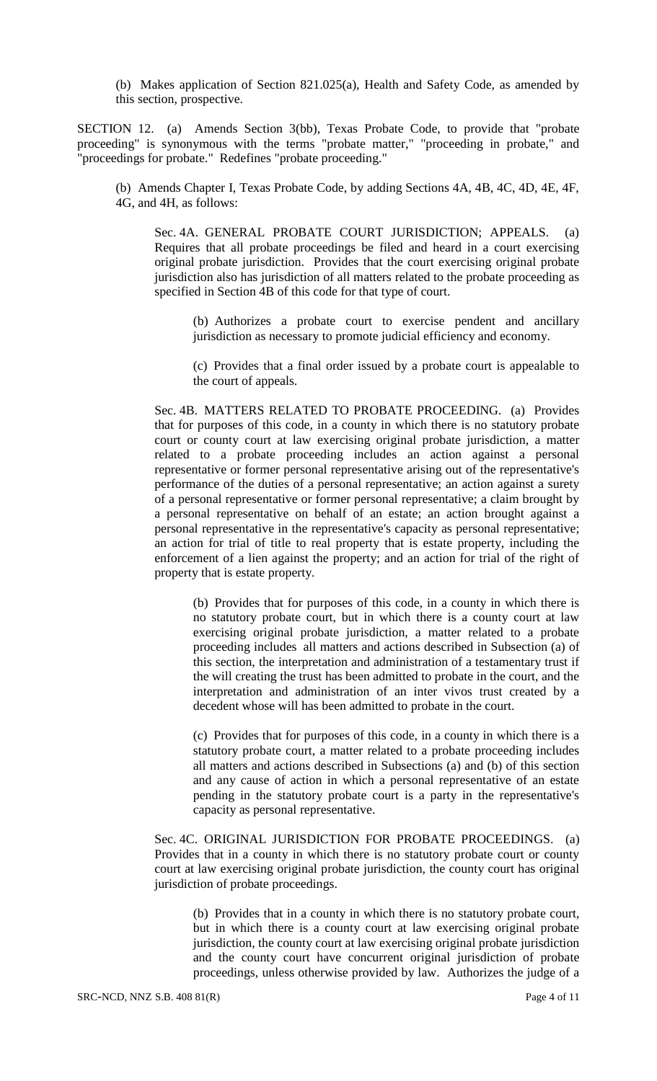(b) Makes application of Section 821.025(a), Health and Safety Code, as amended by this section, prospective.

SECTION 12. (a) Amends Section 3(bb), Texas Probate Code, to provide that "probate proceeding" is synonymous with the terms "probate matter," "proceeding in probate," and "proceedings for probate." Redefines "probate proceeding."

(b) Amends Chapter I, Texas Probate Code, by adding Sections 4A, 4B, 4C, 4D, 4E, 4F, 4G, and 4H, as follows:

Sec. 4A. GENERAL PROBATE COURT JURISDICTION; APPEALS. (a) Requires that all probate proceedings be filed and heard in a court exercising original probate jurisdiction. Provides that the court exercising original probate jurisdiction also has jurisdiction of all matters related to the probate proceeding as specified in Section 4B of this code for that type of court.

(b) Authorizes a probate court to exercise pendent and ancillary jurisdiction as necessary to promote judicial efficiency and economy.

(c) Provides that a final order issued by a probate court is appealable to the court of appeals.

Sec. 4B. MATTERS RELATED TO PROBATE PROCEEDING. (a) Provides that for purposes of this code, in a county in which there is no statutory probate court or county court at law exercising original probate jurisdiction, a matter related to a probate proceeding includes an action against a personal representative or former personal representative arising out of the representative's performance of the duties of a personal representative; an action against a surety of a personal representative or former personal representative; a claim brought by a personal representative on behalf of an estate; an action brought against a personal representative in the representative's capacity as personal representative; an action for trial of title to real property that is estate property, including the enforcement of a lien against the property; and an action for trial of the right of property that is estate property.

(b) Provides that for purposes of this code, in a county in which there is no statutory probate court, but in which there is a county court at law exercising original probate jurisdiction, a matter related to a probate proceeding includes all matters and actions described in Subsection (a) of this section, the interpretation and administration of a testamentary trust if the will creating the trust has been admitted to probate in the court, and the interpretation and administration of an inter vivos trust created by a decedent whose will has been admitted to probate in the court.

(c) Provides that for purposes of this code, in a county in which there is a statutory probate court, a matter related to a probate proceeding includes all matters and actions described in Subsections (a) and (b) of this section and any cause of action in which a personal representative of an estate pending in the statutory probate court is a party in the representative's capacity as personal representative.

Sec. 4C. ORIGINAL JURISDICTION FOR PROBATE PROCEEDINGS. (a) Provides that in a county in which there is no statutory probate court or county court at law exercising original probate jurisdiction, the county court has original jurisdiction of probate proceedings.

(b) Provides that in a county in which there is no statutory probate court, but in which there is a county court at law exercising original probate jurisdiction, the county court at law exercising original probate jurisdiction and the county court have concurrent original jurisdiction of probate proceedings, unless otherwise provided by law. Authorizes the judge of a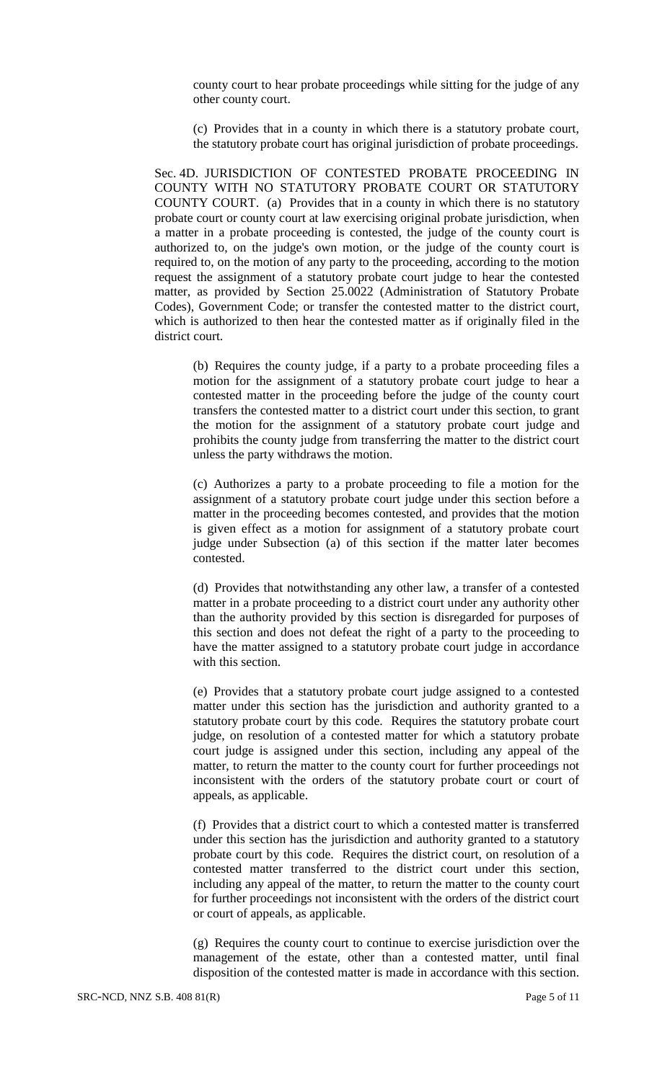county court to hear probate proceedings while sitting for the judge of any other county court.

(c) Provides that in a county in which there is a statutory probate court, the statutory probate court has original jurisdiction of probate proceedings.

Sec. 4D. JURISDICTION OF CONTESTED PROBATE PROCEEDING IN COUNTY WITH NO STATUTORY PROBATE COURT OR STATUTORY COUNTY COURT. (a) Provides that in a county in which there is no statutory probate court or county court at law exercising original probate jurisdiction, when a matter in a probate proceeding is contested, the judge of the county court is authorized to, on the judge's own motion, or the judge of the county court is required to, on the motion of any party to the proceeding, according to the motion request the assignment of a statutory probate court judge to hear the contested matter, as provided by Section 25.0022 (Administration of Statutory Probate Codes), Government Code; or transfer the contested matter to the district court, which is authorized to then hear the contested matter as if originally filed in the district court.

(b) Requires the county judge, if a party to a probate proceeding files a motion for the assignment of a statutory probate court judge to hear a contested matter in the proceeding before the judge of the county court transfers the contested matter to a district court under this section, to grant the motion for the assignment of a statutory probate court judge and prohibits the county judge from transferring the matter to the district court unless the party withdraws the motion.

(c) Authorizes a party to a probate proceeding to file a motion for the assignment of a statutory probate court judge under this section before a matter in the proceeding becomes contested, and provides that the motion is given effect as a motion for assignment of a statutory probate court judge under Subsection (a) of this section if the matter later becomes contested.

(d) Provides that notwithstanding any other law, a transfer of a contested matter in a probate proceeding to a district court under any authority other than the authority provided by this section is disregarded for purposes of this section and does not defeat the right of a party to the proceeding to have the matter assigned to a statutory probate court judge in accordance with this section.

(e) Provides that a statutory probate court judge assigned to a contested matter under this section has the jurisdiction and authority granted to a statutory probate court by this code. Requires the statutory probate court judge, on resolution of a contested matter for which a statutory probate court judge is assigned under this section, including any appeal of the matter, to return the matter to the county court for further proceedings not inconsistent with the orders of the statutory probate court or court of appeals, as applicable.

(f) Provides that a district court to which a contested matter is transferred under this section has the jurisdiction and authority granted to a statutory probate court by this code. Requires the district court, on resolution of a contested matter transferred to the district court under this section, including any appeal of the matter, to return the matter to the county court for further proceedings not inconsistent with the orders of the district court or court of appeals, as applicable.

(g) Requires the county court to continue to exercise jurisdiction over the management of the estate, other than a contested matter, until final disposition of the contested matter is made in accordance with this section.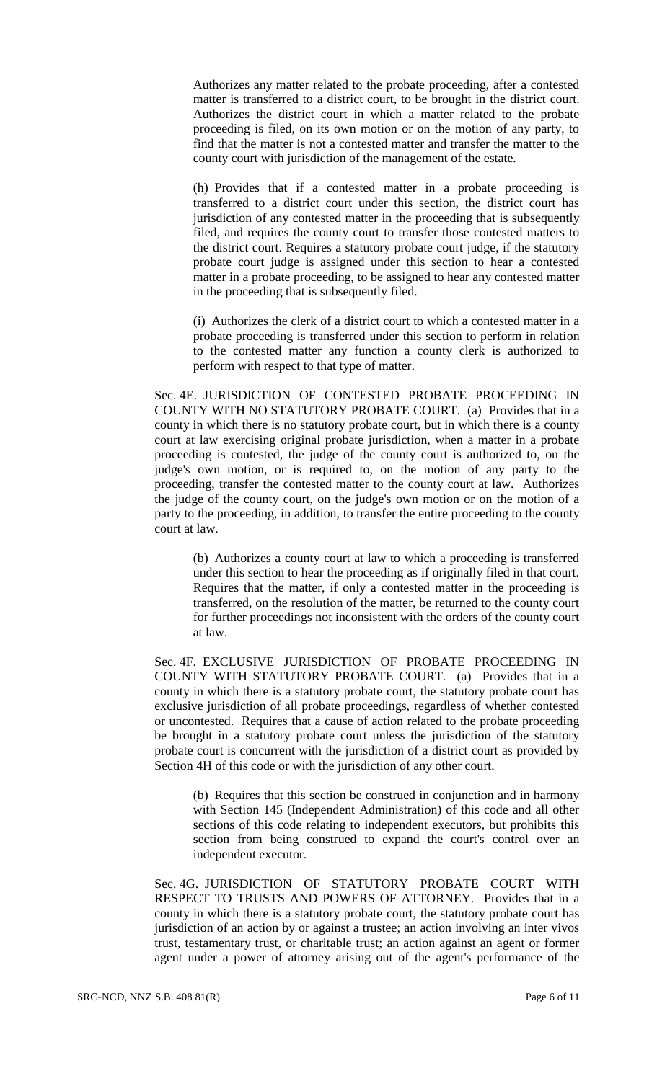Authorizes any matter related to the probate proceeding, after a contested matter is transferred to a district court, to be brought in the district court. Authorizes the district court in which a matter related to the probate proceeding is filed, on its own motion or on the motion of any party, to find that the matter is not a contested matter and transfer the matter to the county court with jurisdiction of the management of the estate.

(h) Provides that if a contested matter in a probate proceeding is transferred to a district court under this section, the district court has jurisdiction of any contested matter in the proceeding that is subsequently filed, and requires the county court to transfer those contested matters to the district court. Requires a statutory probate court judge, if the statutory probate court judge is assigned under this section to hear a contested matter in a probate proceeding, to be assigned to hear any contested matter in the proceeding that is subsequently filed.

(i) Authorizes the clerk of a district court to which a contested matter in a probate proceeding is transferred under this section to perform in relation to the contested matter any function a county clerk is authorized to perform with respect to that type of matter.

Sec. 4E. JURISDICTION OF CONTESTED PROBATE PROCEEDING IN COUNTY WITH NO STATUTORY PROBATE COURT. (a) Provides that in a county in which there is no statutory probate court, but in which there is a county court at law exercising original probate jurisdiction, when a matter in a probate proceeding is contested, the judge of the county court is authorized to, on the judge's own motion, or is required to, on the motion of any party to the proceeding, transfer the contested matter to the county court at law. Authorizes the judge of the county court, on the judge's own motion or on the motion of a party to the proceeding, in addition, to transfer the entire proceeding to the county court at law.

(b) Authorizes a county court at law to which a proceeding is transferred under this section to hear the proceeding as if originally filed in that court. Requires that the matter, if only a contested matter in the proceeding is transferred, on the resolution of the matter, be returned to the county court for further proceedings not inconsistent with the orders of the county court at law.

Sec. 4F. EXCLUSIVE JURISDICTION OF PROBATE PROCEEDING IN COUNTY WITH STATUTORY PROBATE COURT. (a) Provides that in a county in which there is a statutory probate court, the statutory probate court has exclusive jurisdiction of all probate proceedings, regardless of whether contested or uncontested. Requires that a cause of action related to the probate proceeding be brought in a statutory probate court unless the jurisdiction of the statutory probate court is concurrent with the jurisdiction of a district court as provided by Section 4H of this code or with the jurisdiction of any other court.

(b) Requires that this section be construed in conjunction and in harmony with Section 145 (Independent Administration) of this code and all other sections of this code relating to independent executors, but prohibits this section from being construed to expand the court's control over an independent executor.

Sec. 4G. JURISDICTION OF STATUTORY PROBATE COURT WITH RESPECT TO TRUSTS AND POWERS OF ATTORNEY. Provides that in a county in which there is a statutory probate court, the statutory probate court has jurisdiction of an action by or against a trustee; an action involving an inter vivos trust, testamentary trust, or charitable trust; an action against an agent or former agent under a power of attorney arising out of the agent's performance of the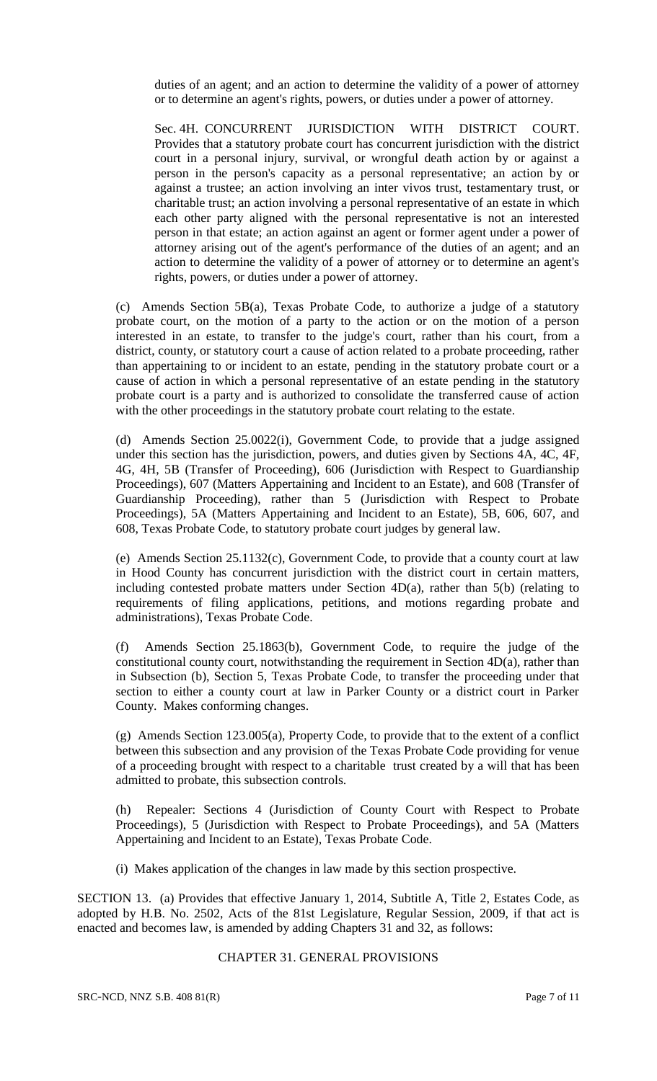duties of an agent; and an action to determine the validity of a power of attorney or to determine an agent's rights, powers, or duties under a power of attorney.

Sec. 4H. CONCURRENT JURISDICTION WITH DISTRICT COURT. Provides that a statutory probate court has concurrent jurisdiction with the district court in a personal injury, survival, or wrongful death action by or against a person in the person's capacity as a personal representative; an action by or against a trustee; an action involving an inter vivos trust, testamentary trust, or charitable trust; an action involving a personal representative of an estate in which each other party aligned with the personal representative is not an interested person in that estate; an action against an agent or former agent under a power of attorney arising out of the agent's performance of the duties of an agent; and an action to determine the validity of a power of attorney or to determine an agent's rights, powers, or duties under a power of attorney.

(c) Amends Section 5B(a), Texas Probate Code, to authorize a judge of a statutory probate court, on the motion of a party to the action or on the motion of a person interested in an estate, to transfer to the judge's court, rather than his court, from a district, county, or statutory court a cause of action related to a probate proceeding, rather than appertaining to or incident to an estate, pending in the statutory probate court or a cause of action in which a personal representative of an estate pending in the statutory probate court is a party and is authorized to consolidate the transferred cause of action with the other proceedings in the statutory probate court relating to the estate.

(d) Amends Section 25.0022(i), Government Code, to provide that a judge assigned under this section has the jurisdiction, powers, and duties given by Sections 4A, 4C, 4F, 4G, 4H, 5B (Transfer of Proceeding), 606 (Jurisdiction with Respect to Guardianship Proceedings), 607 (Matters Appertaining and Incident to an Estate), and 608 (Transfer of Guardianship Proceeding), rather than 5 (Jurisdiction with Respect to Probate Proceedings), 5A (Matters Appertaining and Incident to an Estate), 5B, 606, 607, and 608, Texas Probate Code, to statutory probate court judges by general law.

(e) Amends Section 25.1132(c), Government Code, to provide that a county court at law in Hood County has concurrent jurisdiction with the district court in certain matters, including contested probate matters under Section 4D(a), rather than 5(b) (relating to requirements of filing applications, petitions, and motions regarding probate and administrations), Texas Probate Code.

(f) Amends Section 25.1863(b), Government Code, to require the judge of the constitutional county court, notwithstanding the requirement in Section 4D(a), rather than in Subsection (b), Section 5, Texas Probate Code, to transfer the proceeding under that section to either a county court at law in Parker County or a district court in Parker County. Makes conforming changes.

(g) Amends Section 123.005(a), Property Code, to provide that to the extent of a conflict between this subsection and any provision of the Texas Probate Code providing for venue of a proceeding brought with respect to a charitable trust created by a will that has been admitted to probate, this subsection controls.

(h) Repealer: Sections 4 (Jurisdiction of County Court with Respect to Probate Proceedings), 5 (Jurisdiction with Respect to Probate Proceedings), and 5A (Matters Appertaining and Incident to an Estate), Texas Probate Code.

(i) Makes application of the changes in law made by this section prospective.

SECTION 13. (a) Provides that effective January 1, 2014, Subtitle A, Title 2, Estates Code, as adopted by H.B. No. 2502, Acts of the 81st Legislature, Regular Session, 2009, if that act is enacted and becomes law, is amended by adding Chapters 31 and 32, as follows:

### CHAPTER 31. GENERAL PROVISIONS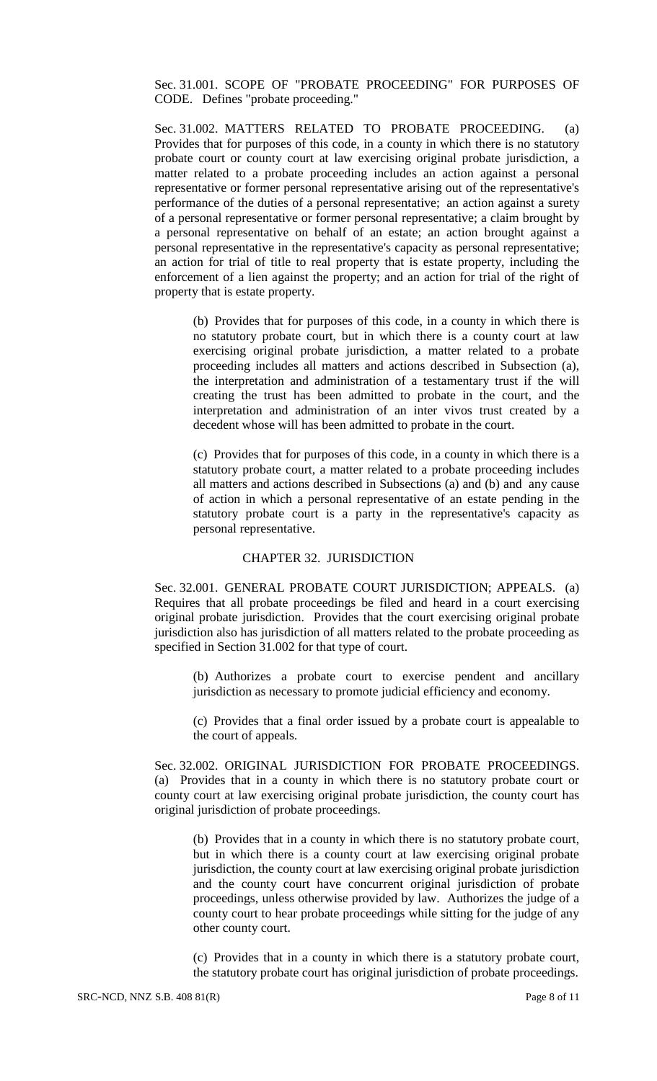Sec. 31.001. SCOPE OF "PROBATE PROCEEDING" FOR PURPOSES OF CODE. Defines "probate proceeding."

Sec. 31.002. MATTERS RELATED TO PROBATE PROCEEDING. (a) Provides that for purposes of this code, in a county in which there is no statutory probate court or county court at law exercising original probate jurisdiction, a matter related to a probate proceeding includes an action against a personal representative or former personal representative arising out of the representative's performance of the duties of a personal representative; an action against a surety of a personal representative or former personal representative; a claim brought by a personal representative on behalf of an estate; an action brought against a personal representative in the representative's capacity as personal representative; an action for trial of title to real property that is estate property, including the enforcement of a lien against the property; and an action for trial of the right of property that is estate property.

(b) Provides that for purposes of this code, in a county in which there is no statutory probate court, but in which there is a county court at law exercising original probate jurisdiction, a matter related to a probate proceeding includes all matters and actions described in Subsection (a), the interpretation and administration of a testamentary trust if the will creating the trust has been admitted to probate in the court, and the interpretation and administration of an inter vivos trust created by a decedent whose will has been admitted to probate in the court.

(c) Provides that for purposes of this code, in a county in which there is a statutory probate court, a matter related to a probate proceeding includes all matters and actions described in Subsections (a) and (b) and any cause of action in which a personal representative of an estate pending in the statutory probate court is a party in the representative's capacity as personal representative.

# CHAPTER 32. JURISDICTION

Sec. 32.001. GENERAL PROBATE COURT JURISDICTION; APPEALS. (a) Requires that all probate proceedings be filed and heard in a court exercising original probate jurisdiction. Provides that the court exercising original probate jurisdiction also has jurisdiction of all matters related to the probate proceeding as specified in Section 31.002 for that type of court.

(b) Authorizes a probate court to exercise pendent and ancillary jurisdiction as necessary to promote judicial efficiency and economy.

(c) Provides that a final order issued by a probate court is appealable to the court of appeals.

Sec. 32.002. ORIGINAL JURISDICTION FOR PROBATE PROCEEDINGS. (a) Provides that in a county in which there is no statutory probate court or county court at law exercising original probate jurisdiction, the county court has original jurisdiction of probate proceedings.

(b) Provides that in a county in which there is no statutory probate court, but in which there is a county court at law exercising original probate jurisdiction, the county court at law exercising original probate jurisdiction and the county court have concurrent original jurisdiction of probate proceedings, unless otherwise provided by law. Authorizes the judge of a county court to hear probate proceedings while sitting for the judge of any other county court.

(c) Provides that in a county in which there is a statutory probate court, the statutory probate court has original jurisdiction of probate proceedings.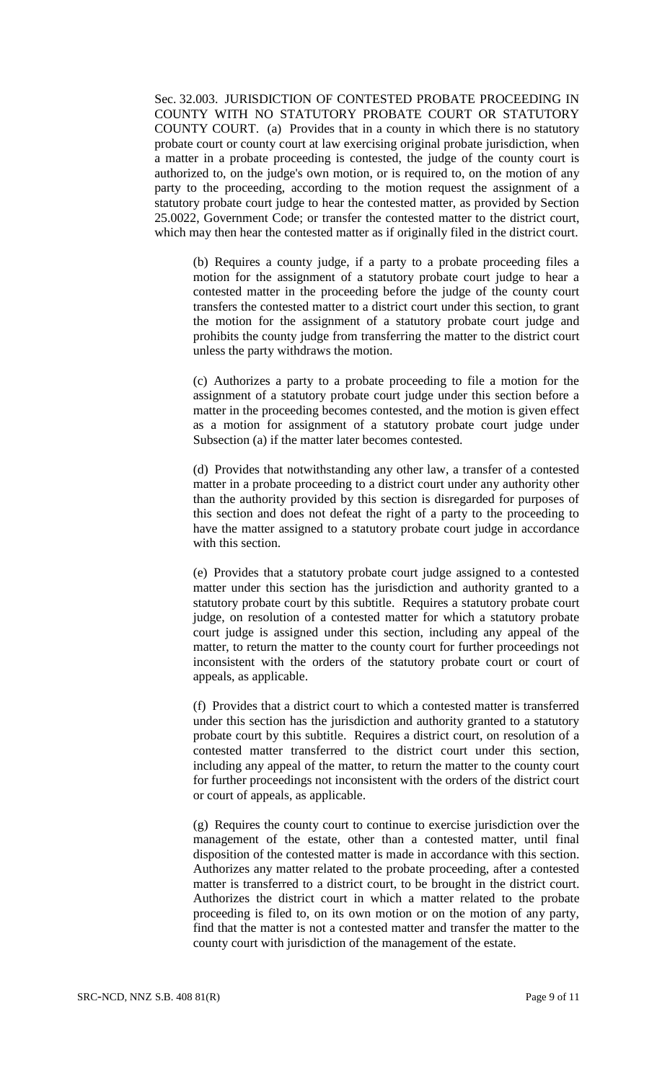Sec. 32.003. JURISDICTION OF CONTESTED PROBATE PROCEEDING IN COUNTY WITH NO STATUTORY PROBATE COURT OR STATUTORY COUNTY COURT. (a) Provides that in a county in which there is no statutory probate court or county court at law exercising original probate jurisdiction, when a matter in a probate proceeding is contested, the judge of the county court is authorized to, on the judge's own motion, or is required to, on the motion of any party to the proceeding, according to the motion request the assignment of a statutory probate court judge to hear the contested matter, as provided by Section 25.0022, Government Code; or transfer the contested matter to the district court, which may then hear the contested matter as if originally filed in the district court.

(b) Requires a county judge, if a party to a probate proceeding files a motion for the assignment of a statutory probate court judge to hear a contested matter in the proceeding before the judge of the county court transfers the contested matter to a district court under this section, to grant the motion for the assignment of a statutory probate court judge and prohibits the county judge from transferring the matter to the district court unless the party withdraws the motion.

(c) Authorizes a party to a probate proceeding to file a motion for the assignment of a statutory probate court judge under this section before a matter in the proceeding becomes contested, and the motion is given effect as a motion for assignment of a statutory probate court judge under Subsection (a) if the matter later becomes contested.

(d) Provides that notwithstanding any other law, a transfer of a contested matter in a probate proceeding to a district court under any authority other than the authority provided by this section is disregarded for purposes of this section and does not defeat the right of a party to the proceeding to have the matter assigned to a statutory probate court judge in accordance with this section.

(e) Provides that a statutory probate court judge assigned to a contested matter under this section has the jurisdiction and authority granted to a statutory probate court by this subtitle. Requires a statutory probate court judge, on resolution of a contested matter for which a statutory probate court judge is assigned under this section, including any appeal of the matter, to return the matter to the county court for further proceedings not inconsistent with the orders of the statutory probate court or court of appeals, as applicable.

(f) Provides that a district court to which a contested matter is transferred under this section has the jurisdiction and authority granted to a statutory probate court by this subtitle. Requires a district court, on resolution of a contested matter transferred to the district court under this section, including any appeal of the matter, to return the matter to the county court for further proceedings not inconsistent with the orders of the district court or court of appeals, as applicable.

(g) Requires the county court to continue to exercise jurisdiction over the management of the estate, other than a contested matter, until final disposition of the contested matter is made in accordance with this section. Authorizes any matter related to the probate proceeding, after a contested matter is transferred to a district court, to be brought in the district court. Authorizes the district court in which a matter related to the probate proceeding is filed to, on its own motion or on the motion of any party, find that the matter is not a contested matter and transfer the matter to the county court with jurisdiction of the management of the estate.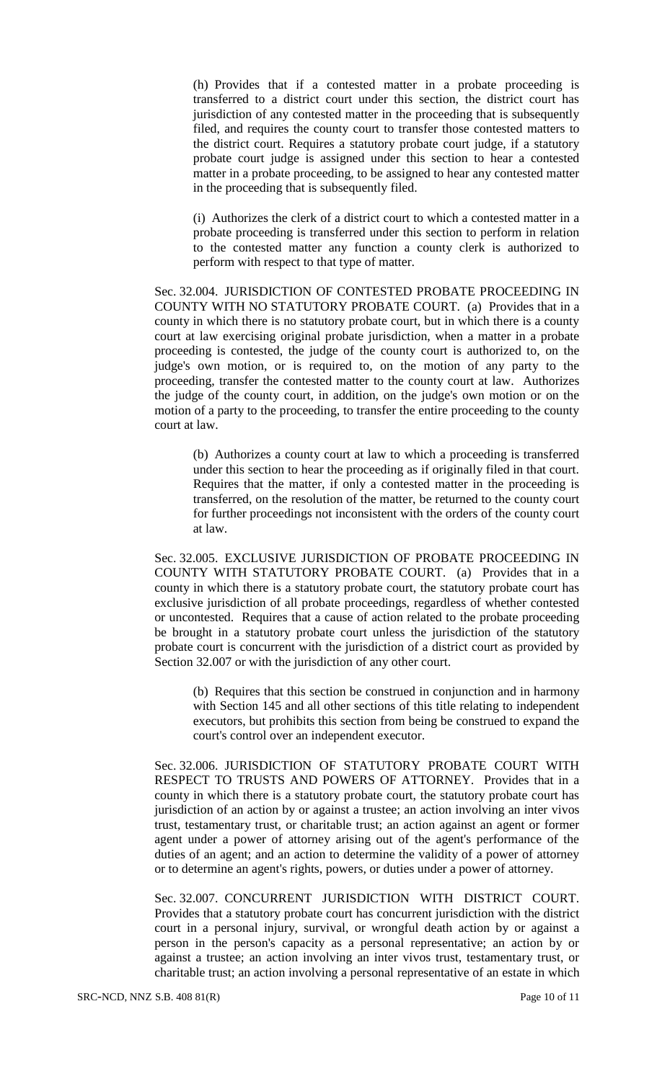(h) Provides that if a contested matter in a probate proceeding is transferred to a district court under this section, the district court has jurisdiction of any contested matter in the proceeding that is subsequently filed, and requires the county court to transfer those contested matters to the district court. Requires a statutory probate court judge, if a statutory probate court judge is assigned under this section to hear a contested matter in a probate proceeding, to be assigned to hear any contested matter in the proceeding that is subsequently filed.

(i) Authorizes the clerk of a district court to which a contested matter in a probate proceeding is transferred under this section to perform in relation to the contested matter any function a county clerk is authorized to perform with respect to that type of matter.

Sec. 32.004. JURISDICTION OF CONTESTED PROBATE PROCEEDING IN COUNTY WITH NO STATUTORY PROBATE COURT. (a) Provides that in a county in which there is no statutory probate court, but in which there is a county court at law exercising original probate jurisdiction, when a matter in a probate proceeding is contested, the judge of the county court is authorized to, on the judge's own motion, or is required to, on the motion of any party to the proceeding, transfer the contested matter to the county court at law. Authorizes the judge of the county court, in addition, on the judge's own motion or on the motion of a party to the proceeding, to transfer the entire proceeding to the county court at law.

(b) Authorizes a county court at law to which a proceeding is transferred under this section to hear the proceeding as if originally filed in that court. Requires that the matter, if only a contested matter in the proceeding is transferred, on the resolution of the matter, be returned to the county court for further proceedings not inconsistent with the orders of the county court at law.

Sec. 32.005. EXCLUSIVE JURISDICTION OF PROBATE PROCEEDING IN COUNTY WITH STATUTORY PROBATE COURT. (a) Provides that in a county in which there is a statutory probate court, the statutory probate court has exclusive jurisdiction of all probate proceedings, regardless of whether contested or uncontested. Requires that a cause of action related to the probate proceeding be brought in a statutory probate court unless the jurisdiction of the statutory probate court is concurrent with the jurisdiction of a district court as provided by Section 32.007 or with the jurisdiction of any other court.

(b) Requires that this section be construed in conjunction and in harmony with Section 145 and all other sections of this title relating to independent executors, but prohibits this section from being be construed to expand the court's control over an independent executor.

Sec. 32.006. JURISDICTION OF STATUTORY PROBATE COURT WITH RESPECT TO TRUSTS AND POWERS OF ATTORNEY. Provides that in a county in which there is a statutory probate court, the statutory probate court has jurisdiction of an action by or against a trustee; an action involving an inter vivos trust, testamentary trust, or charitable trust; an action against an agent or former agent under a power of attorney arising out of the agent's performance of the duties of an agent; and an action to determine the validity of a power of attorney or to determine an agent's rights, powers, or duties under a power of attorney.

Sec. 32.007. CONCURRENT JURISDICTION WITH DISTRICT COURT. Provides that a statutory probate court has concurrent jurisdiction with the district court in a personal injury, survival, or wrongful death action by or against a person in the person's capacity as a personal representative; an action by or against a trustee; an action involving an inter vivos trust, testamentary trust, or charitable trust; an action involving a personal representative of an estate in which